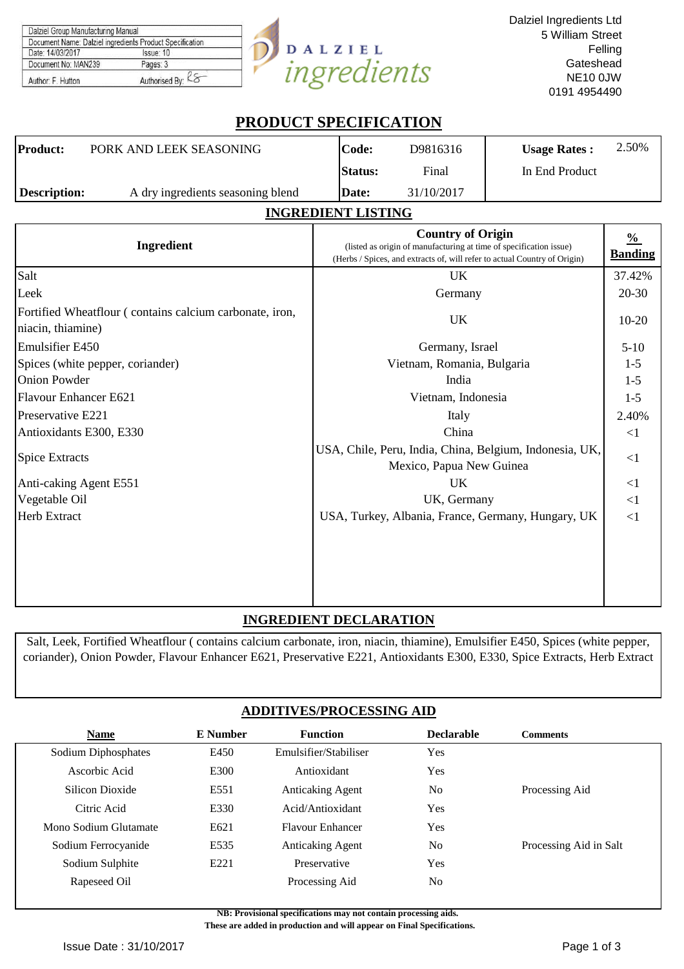| Dalziel Group Manufacturing Manual                       |                |            |
|----------------------------------------------------------|----------------|------------|
| Document Name: Dalziel ingredients Product Specification |                |            |
| Date: 14/03/2017                                         | Issue: 10      | DALZIEL    |
| Document No: MAN239                                      | Pages: 3       |            |
| Author: F. Hutton                                        | Authorised By: | norpaipris |

## **PRODUCT SPECIFICATION**

| <b>Product:</b> | PORK AND LEEK SEASONING           | Code:          | D9816316   | <b>Usage Rates:</b> | 2.50% |
|-----------------|-----------------------------------|----------------|------------|---------------------|-------|
|                 |                                   | <b>Status:</b> | Final      | In End Product      |       |
| Description:    | A dry ingredients seasoning blend | Date:          | 31/10/2017 |                     |       |
|                 |                                   |                |            |                     |       |

## **INGREDIENT LISTING**

| Ingredient                                                                   | <b>Country of Origin</b><br>(listed as origin of manufacturing at time of specification issue)<br>(Herbs / Spices, and extracts of, will refer to actual Country of Origin) | $\frac{0}{0}$<br><b>Banding</b> |
|------------------------------------------------------------------------------|-----------------------------------------------------------------------------------------------------------------------------------------------------------------------------|---------------------------------|
| Salt                                                                         | UK                                                                                                                                                                          | 37.42%                          |
| Leek                                                                         | Germany                                                                                                                                                                     | $20 - 30$                       |
| Fortified Wheatflour (contains calcium carbonate, iron,<br>niacin, thiamine) | <b>UK</b>                                                                                                                                                                   | $10 - 20$                       |
| <b>Emulsifier E450</b>                                                       | Germany, Israel                                                                                                                                                             | $5-10$                          |
| Spices (white pepper, coriander)                                             | Vietnam, Romania, Bulgaria                                                                                                                                                  | $1-5$                           |
| <b>Onion Powder</b>                                                          | India                                                                                                                                                                       | $1-5$                           |
| <b>Flavour Enhancer E621</b>                                                 | Vietnam, Indonesia                                                                                                                                                          | $1-5$                           |
| Preservative E221                                                            | Italy                                                                                                                                                                       | 2.40%                           |
| Antioxidants E300, E330                                                      | China                                                                                                                                                                       | <1                              |
| <b>Spice Extracts</b>                                                        | USA, Chile, Peru, India, China, Belgium, Indonesia, UK,<br>Mexico, Papua New Guinea                                                                                         | <1                              |
| Anti-caking Agent E551                                                       | UK.                                                                                                                                                                         | $\leq$ 1                        |
| Vegetable Oil                                                                | UK, Germany                                                                                                                                                                 | <1                              |
| Herb Extract                                                                 | USA, Turkey, Albania, France, Germany, Hungary, UK                                                                                                                          | <1                              |
|                                                                              |                                                                                                                                                                             |                                 |

## **INGREDIENT DECLARATION**

Salt, Leek, Fortified Wheatflour ( contains calcium carbonate, iron, niacin, thiamine), Emulsifier E450, Spices (white pepper, coriander), Onion Powder, Flavour Enhancer E621, Preservative E221, Antioxidants E300, E330, Spice Extracts, Herb Extract

## **ADDITIVES/PROCESSING AID**

| <b>Name</b>           | E Number | <b>Function</b>         | <b>Declarable</b> | <b>Comments</b>        |
|-----------------------|----------|-------------------------|-------------------|------------------------|
| Sodium Diphosphates   | E450     | Emulsifier/Stabiliser   | <b>Yes</b>        |                        |
| Ascorbic Acid         | E300     | Antioxidant             | <b>Yes</b>        |                        |
| Silicon Dioxide       | E551     | <b>Anticaking Agent</b> | N <sub>0</sub>    | Processing Aid         |
| Citric Acid           | E330     | Acid/Antioxidant        | Yes               |                        |
| Mono Sodium Glutamate | E621     | <b>Flavour Enhancer</b> | Yes               |                        |
| Sodium Ferrocyanide   | E535     | <b>Anticaking Agent</b> | N <sub>0</sub>    | Processing Aid in Salt |
| Sodium Sulphite       | E221     | Preservative            | Yes               |                        |
| Rapeseed Oil          |          | Processing Aid          | N <sub>0</sub>    |                        |

**NB: Provisional specifications may not contain processing aids. These are added in production and will appear on Final Specifications.**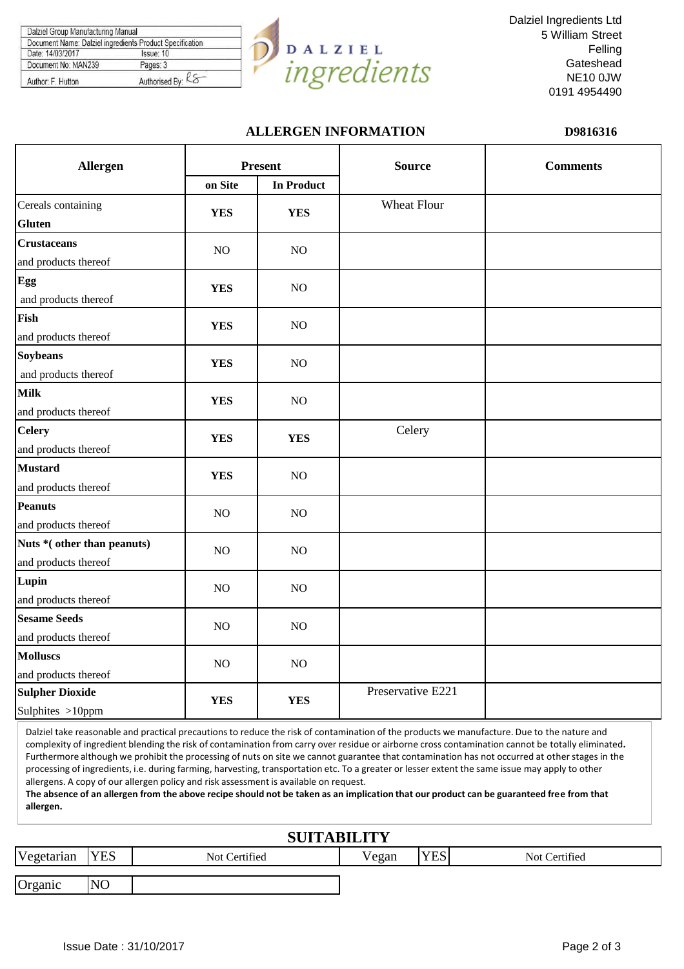| Document Name: Dalziel ingredients Product Specification |
|----------------------------------------------------------|
| Issue: 10                                                |
| Pages: 3                                                 |
| Authorised By: Ko                                        |
|                                                          |



Dalziel Ingredients Ltd 5 William Street Felling Gateshead NE10 0JW 0191 4954490

## **ALLERGEN INFORMATION D9816316**

| Allergen                                           |            | <b>Present</b>    | <b>Source</b>      | <b>Comments</b> |  |
|----------------------------------------------------|------------|-------------------|--------------------|-----------------|--|
|                                                    | on Site    | <b>In Product</b> |                    |                 |  |
| Cereals containing<br><b>Gluten</b>                | <b>YES</b> | <b>YES</b>        | <b>Wheat Flour</b> |                 |  |
| <b>Crustaceans</b><br>and products thereof         | NO         | NO                |                    |                 |  |
| Egg<br>and products thereof                        | <b>YES</b> | NO                |                    |                 |  |
| Fish<br>and products thereof                       | <b>YES</b> | NO                |                    |                 |  |
| <b>Soybeans</b><br>and products thereof            | <b>YES</b> | NO                |                    |                 |  |
| <b>Milk</b><br>and products thereof                | <b>YES</b> | NO                |                    |                 |  |
| <b>Celery</b><br>and products thereof              | <b>YES</b> | <b>YES</b>        | Celery             |                 |  |
| <b>Mustard</b><br>and products thereof             | <b>YES</b> | NO                |                    |                 |  |
| <b>Peanuts</b><br>and products thereof             | NO         | NO                |                    |                 |  |
| Nuts *(other than peanuts)<br>and products thereof | NO         | NO                |                    |                 |  |
| Lupin<br>and products thereof                      | NO         | NO                |                    |                 |  |
| <b>Sesame Seeds</b><br>and products thereof        | NO         | NO                |                    |                 |  |
| <b>Molluscs</b><br>and products thereof            | NO         | NO                |                    |                 |  |
| <b>Sulpher Dioxide</b><br>Sulphites >10ppm         | <b>YES</b> | <b>YES</b>        | Preservative E221  |                 |  |

Dalziel take reasonable and practical precautions to reduce the risk of contamination of the products we manufacture. Due to the nature and complexity of ingredient blending the risk of contamination from carry over residue or airborne cross contamination cannot be totally eliminated**.**  Furthermore although we prohibit the processing of nuts on site we cannot guarantee that contamination has not occurred at other stages in the processing of ingredients, i.e. during farming, harvesting, transportation etc. To a greater or lesser extent the same issue may apply to other allergens. A copy of our allergen policy and risk assessment is available on request.

**The absence of an allergen from the above recipe should not be taken as an implication that our product can be guaranteed free from that allergen.**

## **SUITABILITY**

| Vegetarian | <b>YES</b>      | Not Certified | TT <sub>T</sub><br>Vegan | <b>VEC</b><br>الحجللا | Not Certified |
|------------|-----------------|---------------|--------------------------|-----------------------|---------------|
| Organic    | NO <sub>1</sub> |               |                          |                       |               |